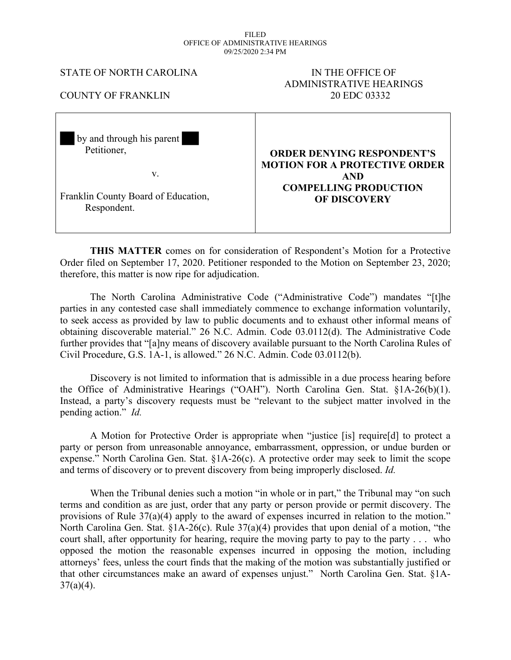#### FILED OFFICE OF ADMINISTRATIVE HEARINGS 09/25/2020 2:34 PM

### STATE OF NORTH CAROLINA IN THE OFFICE OF

# ADMINISTRATIVE HEARINGS COUNTY OF FRANKLIN 20 EDC 03332

| by and through his parent           | <b>ORDER DENYING RESPONDENT'S</b>    |
|-------------------------------------|--------------------------------------|
| Petitioner,                         | <b>MOTION FOR A PROTECTIVE ORDER</b> |
| V.                                  | <b>AND</b>                           |
| Franklin County Board of Education, | <b>COMPELLING PRODUCTION</b>         |
| Respondent.                         | <b>OF DISCOVERY</b>                  |

**THIS MATTER** comes on for consideration of Respondent's Motion for a Protective Order filed on September 17, 2020. Petitioner responded to the Motion on September 23, 2020; therefore, this matter is now ripe for adjudication.

The North Carolina Administrative Code ("Administrative Code") mandates "[t]he parties in any contested case shall immediately commence to exchange information voluntarily, to seek access as provided by law to public documents and to exhaust other informal means of obtaining discoverable material." 26 N.C. Admin. Code 03.0112(d). The Administrative Code further provides that "[a]ny means of discovery available pursuant to the North Carolina Rules of Civil Procedure, G.S. 1A-1, is allowed." 26 N.C. Admin. Code 03.0112(b).

Discovery is not limited to information that is admissible in a due process hearing before the Office of Administrative Hearings ("OAH"). North Carolina Gen. Stat. §1A-26(b)(1). Instead, a party's discovery requests must be "relevant to the subject matter involved in the pending action." *Id.*

A Motion for Protective Order is appropriate when "justice [is] require[d] to protect a party or person from unreasonable annoyance, embarrassment, oppression, or undue burden or expense." North Carolina Gen. Stat. §1A-26(c). A protective order may seek to limit the scope and terms of discovery or to prevent discovery from being improperly disclosed. *Id.*

When the Tribunal denies such a motion "in whole or in part," the Tribunal may "on such terms and condition as are just, order that any party or person provide or permit discovery. The provisions of Rule 37(a)(4) apply to the award of expenses incurred in relation to the motion." North Carolina Gen. Stat. §1A-26(c). Rule 37(a)(4) provides that upon denial of a motion, "the court shall, after opportunity for hearing, require the moving party to pay to the party . . . who opposed the motion the reasonable expenses incurred in opposing the motion, including attorneys' fees, unless the court finds that the making of the motion was substantially justified or that other circumstances make an award of expenses unjust." North Carolina Gen. Stat. §1A- $37(a)(4)$ .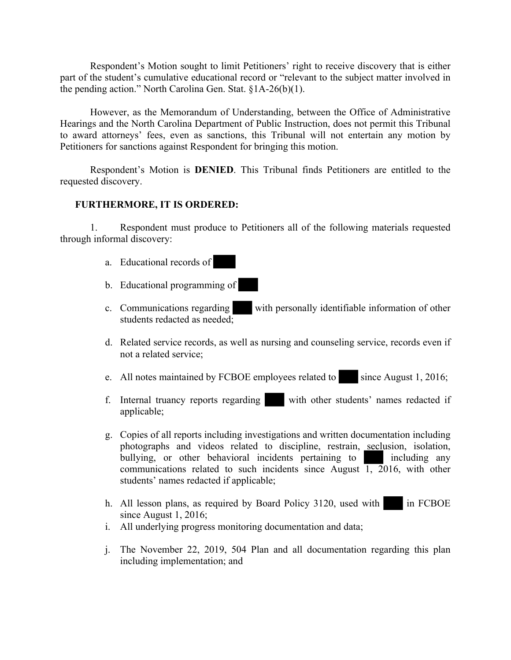Respondent's Motion sought to limit Petitioners' right to receive discovery that is either part of the student's cumulative educational record or "relevant to the subject matter involved in the pending action." North Carolina Gen. Stat. §1A-26(b)(1).

However, as the Memorandum of Understanding, between the Office of Administrative Hearings and the North Carolina Department of Public Instruction, does not permit this Tribunal to award attorneys' fees, even as sanctions, this Tribunal will not entertain any motion by Petitioners for sanctions against Respondent for bringing this motion.

Respondent's Motion is **DENIED**. This Tribunal finds Petitioners are entitled to the requested discovery.

## **FURTHERMORE, IT IS ORDERED:**

1. Respondent must produce to Petitioners all of the following materials requested through informal discovery:

- a. Educational records of
- b. Educational programming of
- c. Communications regarding with personally identifiable information of other students redacted as needed;
- d. Related service records, as well as nursing and counseling service, records even if not a related service;
- e. All notes maintained by FCBOE employees related to since August 1, 2016;
- f. Internal truancy reports regarding with other students' names redacted if applicable;
- g. Copies of all reports including investigations and written documentation including photographs and videos related to discipline, restrain, seclusion, isolation, bullying, or other behavioral incidents pertaining to including any communications related to such incidents since August  $\overline{1, 2016}$ , with other students' names redacted if applicable;
- h. All lesson plans, as required by Board Policy 3120, used with in FCBOE since August 1, 2016;
- i. All underlying progress monitoring documentation and data;
- j. The November 22, 2019, 504 Plan and all documentation regarding this plan including implementation; and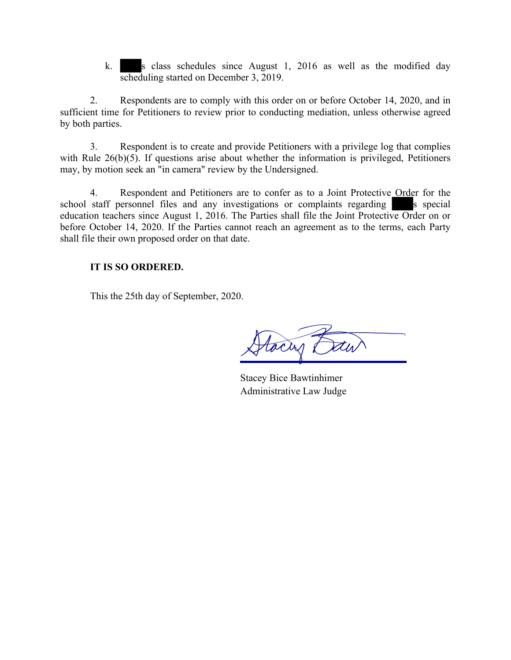k. s class schedules since August 1, 2016 as well as the modified day scheduling started on December 3, 2019.

2. Respondents are to comply with this order on or before October 14, 2020, and in sufficient time for Petitioners to review prior to conducting mediation, unless otherwise agreed by both parties.

3. Respondent is to create and provide Petitioners with a privilege log that complies with Rule 26(b)(5). If questions arise about whether the information is privileged, Petitioners may, by motion seek an "in camera" review by the Undersigned.

4. Respondent and Petitioners are to confer as to a Joint Protective Order for the school staff personnel files and any investigations or complaints regarding s special education teachers since August 1, 2016. The Parties shall file the Joint Protective Order on or before October 14, 2020. If the Parties cannot reach an agreement as to the terms, each Party shall file their own proposed order on that date.

# **IT IS SO ORDERED.**

This the 25th day of September, 2020.

Hacry Daw

Stacey Bice Bawtinhimer Administrative Law Judge